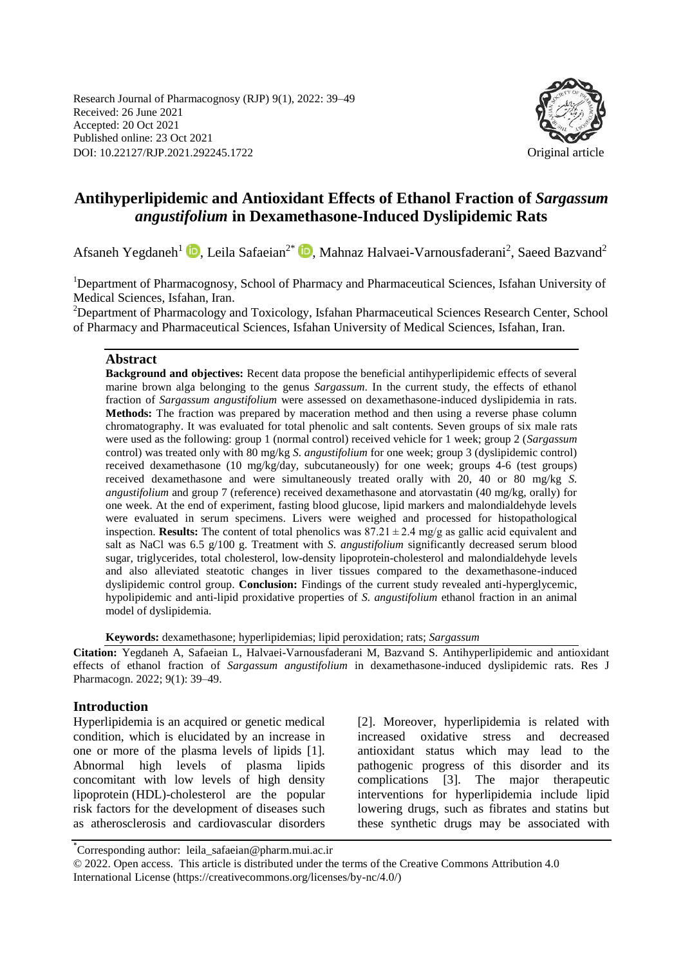Research Journal of Pharmacognosy (RJP) 9(1), 2022: 39–49 Received: 26 June 2021 Accepted: 20 Oct 2021 Published online: 23 Oct 2021 DOI: 10.22127/RJP.2021.292245.1722 Original article



# **Antihyperlipidemic and Antioxidant Effects of Ethanol Fraction of** *Sargassum angustifolium* **in Dexamethasone-Induced Dyslipidemic Rats**

Afsaneh Yegdaneh<sup>1</sup> (D)[,](https://orcid.org/0000-0002-8294-1132) Leila Safaeian<sup>2\*</sup> (D), Mahnaz Halvaei-Varnousfaderani<sup>2</sup>, Saeed Bazvand<sup>2</sup>

<sup>1</sup>Department of Pharmacognosy, School of Pharmacy and Pharmaceutical Sciences, Isfahan University of Medical Sciences, Isfahan, Iran.

<sup>2</sup>Department of Pharmacology and Toxicology, Isfahan Pharmaceutical Sciences Research Center, School of Pharmacy and Pharmaceutical Sciences, Isfahan University of Medical Sciences, Isfahan, Iran.

#### **Abstract**

**Background and objectives:** Recent data propose the beneficial antihyperlipidemic effects of several marine brown alga belonging to the genus *Sargassum*. In the current study, the effects of ethanol fraction of *Sargassum angustifolium* were assessed on dexamethasone-induced dyslipidemia in rats. **Methods:** The fraction was prepared by maceration method and then using a reverse phase column chromatography. It was evaluated for total phenolic and salt contents. Seven groups of six male rats were used as the following: group 1 (normal control) received vehicle for 1 week; group 2 (*Sargassum*  control) was treated only with 80 mg/kg *S. angustifolium* for one week; group 3 (dyslipidemic control) received dexamethasone (10 mg/kg/day, subcutaneously) for one week; groups 4-6 (test groups) received dexamethasone and were simultaneously treated orally with 20, 40 or 80 mg/kg *S. angustifolium* and group 7 (reference) received dexamethasone and atorvastatin (40 mg/kg, orally) for one week. At the end of experiment, fasting blood glucose, lipid markers and malondialdehyde levels were evaluated in serum specimens. Livers were weighed and processed for histopathological inspection. **Results:** The content of total phenolics was  $87.21 \pm 2.4$  mg/g as gallic acid equivalent and salt as NaCl was 6.5 g/100 g. Treatment with *S. angustifolium* significantly decreased serum blood sugar, triglycerides, total cholesterol, low-density lipoprotein-cholesterol and malondialdehyde levels and also alleviated steatotic changes in liver tissues compared to the dexamethasone-induced dyslipidemic control group. **Conclusion:** Findings of the current study revealed anti-hyperglycemic, hypolipidemic and anti-lipid proxidative properties of *S. angustifolium* ethanol fraction in an animal model of dyslipidemia.

**Keywords:** dexamethasone; hyperlipidemias; lipid peroxidation; rats; *Sargassum*

**Citation:** Yegdaneh A, Safaeian L, Halvaei-Varnousfaderani M, Bazvand S. Antihyperlipidemic and antioxidant effects of ethanol fraction of *Sargassum angustifolium* in dexamethasone-induced dyslipidemic rats. Res J Pharmacogn. 2022; 9(1): 39–49.

#### **Introduction**

Hyperlipidemia is an acquired or genetic medical condition, which is elucidated by an increase in one or more of the plasma levels of lipids [1]. Abnormal high levels of plasma lipids concomitant with low levels of high density lipoprotein (HDL)-cholesterol are the popular risk factors for the development of diseases such as atherosclerosis and cardiovascular disorders [2]. Moreover, hyperlipidemia is related with increased oxidative stress and decreased antioxidant status which may lead to the pathogenic progress of this disorder and its complications [3]. The major therapeutic interventions for hyperlipidemia include lipid lowering drugs, such as fibrates and statins but these synthetic drugs may be associated with

<sup>\*</sup> Corresponding author: leila\_safaeian@pharm.mui.ac.ir

<sup>© 2022.</sup> Open access. This article is distributed under the terms of the Creative Commons Attribution 4.0 International License (https://creativecommons.org/licenses/by-nc/4.0/)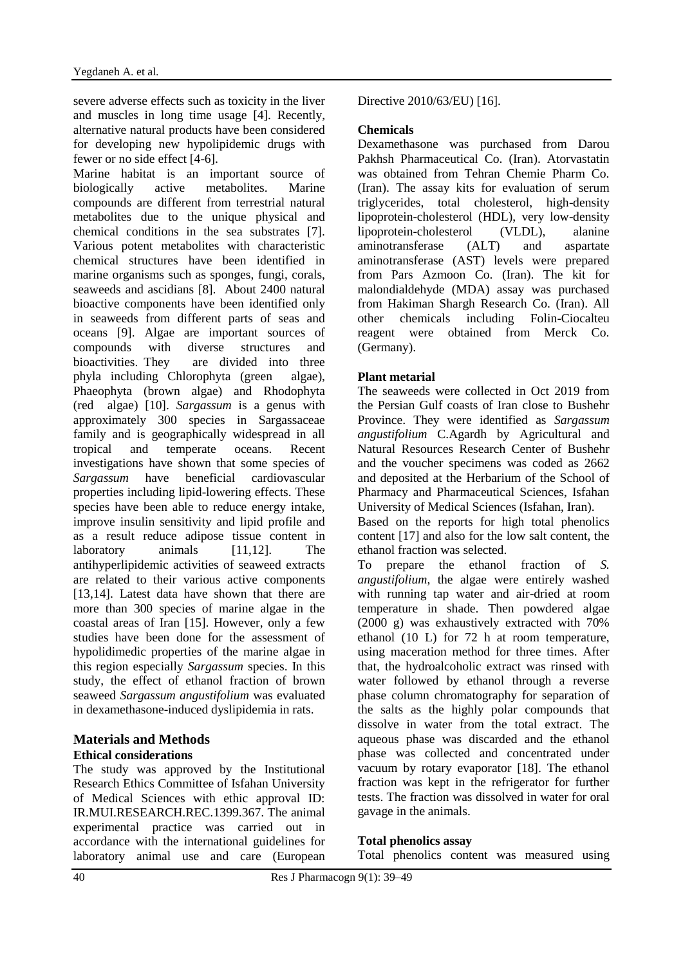severe adverse effects such as toxicity in the liver and muscles in long time usage [4]. Recently, alternative natural products have been considered for developing new hypolipidemic drugs with fewer or no side effect [4-6].

Marine habitat is an important source of biologically active metabolites. Marine compounds are different from terrestrial natural metabolites due to the unique physical and chemical conditions in the sea substrates [7]. Various potent metabolites with characteristic chemical structures have been identified in marine organisms such as sponges, fungi, corals, seaweeds and ascidians [8]. About 2400 natural bioactive components have been identified only in seaweeds from different parts of seas and oceans [9]. Algae are important sources of compounds with diverse structures and bioactivities. They are divided into three phyla including Chlorophyta (green algae), Phaeophyta (brown algae) and Rhodophyta (red algae) [10]. *Sargassum* is a genus with approximately 300 species in Sargassaceae family and is geographically widespread in all tropical and temperate oceans. Recent investigations have shown that some species of *Sargassum* have beneficial cardiovascular properties including lipid-lowering effects. These species have been able to reduce energy intake, improve insulin sensitivity and lipid profile and as a result reduce adipose tissue content in laboratory animals [11,12]. The antihyperlipidemic activities of seaweed extracts are related to their various active components [13,14]. Latest data have shown that there are more than 300 species of marine algae in the coastal areas of Iran [15]. However, only a few studies have been done for the assessment of hypolidimedic properties of the marine algae in this region especially *Sargassum* species. In this study, the effect of ethanol fraction of brown seaweed *Sargassum angustifolium* was evaluated in dexamethasone-induced dyslipidemia in rats.

# **Materials and Methods Ethical considerations**

The study was approved by the Institutional Research Ethics Committee of Isfahan University of Medical Sciences with ethic approval ID: [IR.MUI.RESEARCH.REC.1399.367.](https://ethics.research.ac.ir/ProposalCertificateEn.php?id=151250&Print=true&NoPrintHeader=true&NoPrintFooter=true&NoPrintPageBorder=true&LetterPrint=true) The animal experimental practice was carried out in accordance with the international guidelines for laboratory animal use and care (European

# Directive 2010/63/EU) [16].

# **Chemicals**

Dexamethasone was purchased from Darou Pakhsh Pharmaceutical Co. (Iran). Atorvastatin was obtained from Tehran Chemie Pharm Co. (Iran). The assay kits for evaluation of serum triglycerides, total cholesterol, high-density lipoprotein-cholesterol (HDL), very low-density lipoprotein-cholesterol (VLDL), alanine aminotransferase (ALT) and aspartate aminotransferase (AST) levels were prepared from Pars Azmoon Co. (Iran). The kit for malondialdehyde (MDA) assay was purchased from Hakiman Shargh Research Co. (Iran). All other chemicals including Folin-Ciocalteu reagent were obtained from Merck Co. (Germany).

# **Plant metarial**

The seaweeds were collected in Oct 2019 from the Persian Gulf coasts of Iran close to Bushehr Province. They were identified as *Sargassum angustifolium* C.Agardh by Agricultural and Natural Resources Research Center of Bushehr and the voucher specimens was coded as 2662 and deposited at the Herbarium of the School of Pharmacy and Pharmaceutical Sciences, Isfahan University of Medical Sciences (Isfahan, Iran).

Based on the reports for high total phenolics content [17] and also for the low salt content, the ethanol fraction was selected.

To prepare the ethanol fraction of *S. angustifolium*, the algae were entirely washed with running tap water and air-dried at room temperature in shade. Then powdered algae (2000 g) was exhaustively extracted with 70% ethanol (10 L) for 72 h at room temperature, using maceration method for three times. After that, the hydroalcoholic extract was rinsed with water followed by ethanol through a reverse phase column chromatography for separation of the salts as the highly polar compounds that dissolve in water from the total extract. The aqueous phase was discarded and the ethanol phase was collected and concentrated under vacuum by rotary evaporator [18]. The ethanol fraction was kept in the refrigerator for further tests. The fraction was dissolved in water for oral gavage in the animals.

# **Total phenolics assay**

Total phenolics content was measured using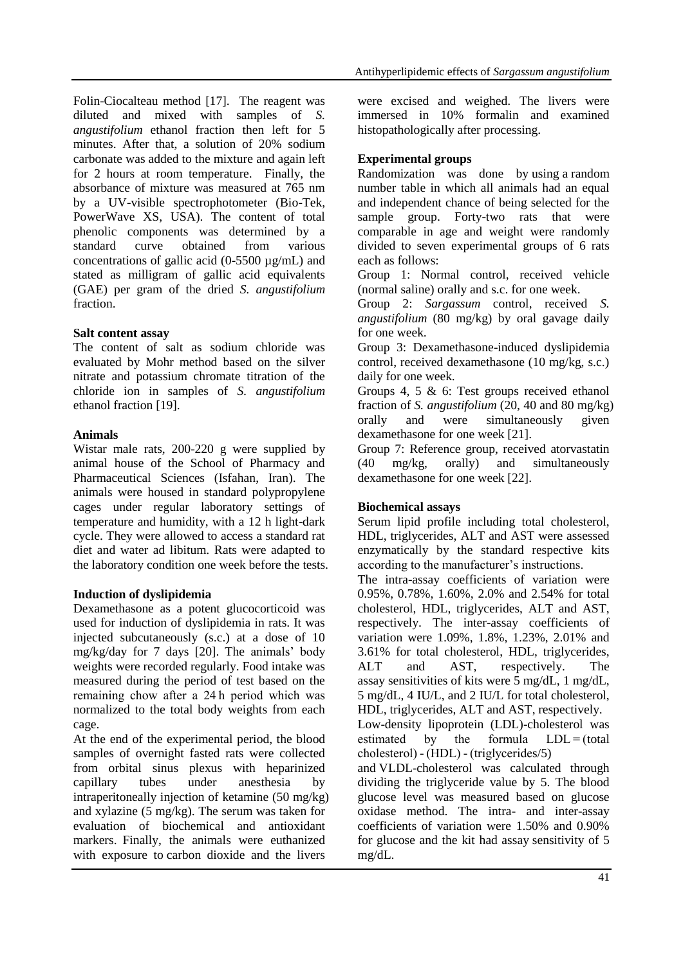Folin-Ciocalteau method [17]. The reagent was diluted and mixed with samples of *S. angustifolium* ethanol fraction then left for 5 minutes. After that, a solution of 20% sodium carbonate was added to the mixture and again left for 2 hours at room temperature. Finally, the absorbance of mixture was measured at 765 nm by a UV-visible spectrophotometer (Bio-Tek, PowerWave XS, USA). The content of total phenolic components was determined by a standard curve obtained from various concentrations of gallic acid  $(0-5500 \mu g/mL)$  and stated as milligram of gallic acid equivalents (GAE) per gram of the dried *S. angustifolium* fraction.

# **Salt content assay**

The content of salt as sodium chloride was evaluated by Mohr method based on the silver nitrate and potassium chromate titration of the chloride ion in samples of *S. angustifolium* ethanol fraction [19].

# **Animals**

Wistar male rats, 200-220 g were supplied by animal house of the School of Pharmacy and Pharmaceutical Sciences (Isfahan, Iran). The animals were housed in standard polypropylene cages under regular laboratory settings of temperature and humidity, with a 12 h light-dark cycle. They were allowed to access a standard rat diet and water ad libitum. Rats were adapted to the laboratory condition one week before the tests.

# **Induction of dyslipidemia**

Dexamethasone as a potent glucocorticoid was used for induction of dyslipidemia in rats. It was injected subcutaneously (s.c.) at a dose of 10 mg/kg/day for 7 days [20]. The animals' body weights were recorded regularly. Food intake was measured during the period of test based on the remaining chow after a 24 h period which was normalized to the total body weights from each cage.

At the end of the experimental period, the blood samples of overnight fasted rats were collected from orbital sinus plexus with heparinized capillary tubes under anesthesia by intraperitoneally injection of ketamine (50 mg/kg) and xylazine (5 mg/kg). The serum was taken for evaluation of biochemical and antioxidant markers. Finally, the animals were euthanized with exposure to carbon dioxide and the livers

were excised and weighed. The livers were immersed in 10% formalin and examined histopathologically after processing.

# **Experimental groups**

Randomization was done by using a random number table in which all animals had an equal and independent chance of being selected for the sample group. Forty-two rats that were comparable in age and weight were randomly divided to seven experimental groups of 6 rats each as follows:

Group 1: Normal control, received vehicle (normal saline) orally and s.c. for one week.

Group 2: *Sargassum* control, received *S. angustifolium* (80 mg/kg) by oral gavage daily for one week.

Group 3: Dexamethasone-induced dyslipidemia control, received dexamethasone (10 mg/kg, s.c.) daily for one week.

Groups 4, 5 & 6: Test groups received ethanol fraction of *S. angustifolium* (20, 40 and 80 mg/kg) orally and were simultaneously given dexamethasone for one week [21].

Group 7: Reference group, received atorvastatin (40 mg/kg, orally) and simultaneously dexamethasone for one week [22].

# **Biochemical assays**

Serum lipid profile including total cholesterol, HDL, triglycerides, ALT and AST were assessed enzymatically by the standard respective kits according to the manufacturer's instructions.

The intra-assay coefficients of variation were 0.95%, 0.78%, 1.60%, 2.0% and 2.54% for total cholesterol, HDL, triglycerides, ALT and AST, respectively. The inter-assay coefficients of variation were 1.09%, 1.8%, 1.23%, 2.01% and 3.61% for total cholesterol, HDL, triglycerides, ALT and AST, respectively. The assay sensitivities of kits were 5 mg/dL, 1 mg/dL, 5 mg/dL, 4 IU/L, and 2 IU/L for total cholesterol, HDL, triglycerides, ALT and AST, respectively.

Low-density lipoprotein (LDL)-cholesterol was estimated by the formula  $LDL = (total$ cholesterol) - (HDL) - (triglycerides/5)

and VLDL-cholesterol was calculated through dividing the triglyceride value by 5. The blood glucose level was measured based on glucose oxidase method. The intra- and inter-assay coefficients of variation were 1.50% and 0.90% for glucose and the kit had assay sensitivity of 5 mg/dL.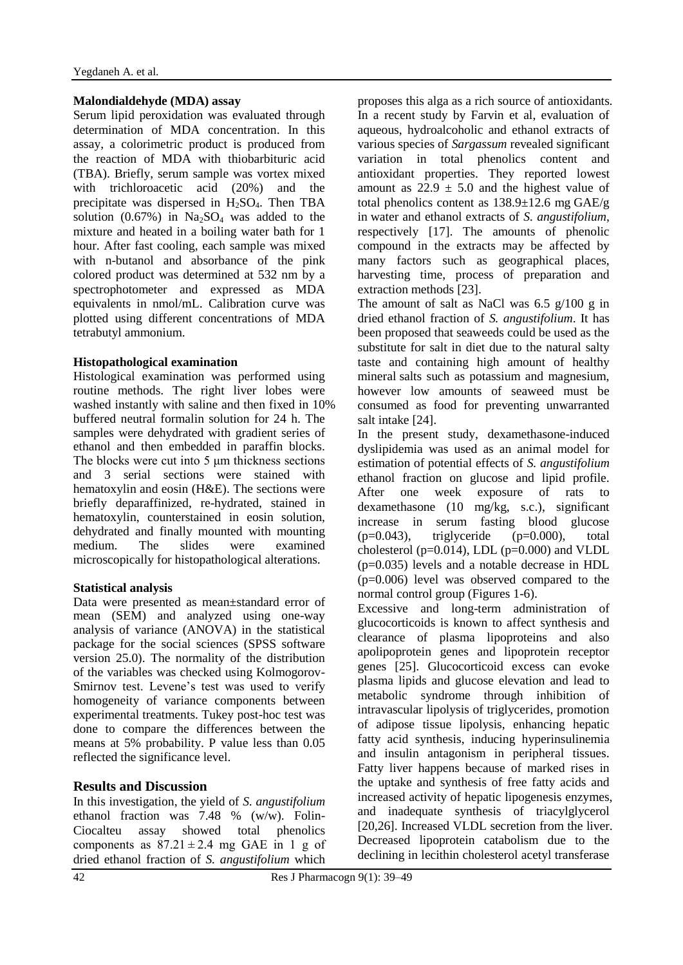### **Malondialdehyde (MDA) assay**

Serum lipid peroxidation was evaluated through determination of MDA concentration. In this assay, a colorimetric product is produced from the reaction of MDA with thiobarbituric acid (TBA). Briefly, serum sample was vortex mixed with trichloroacetic acid (20%) and the precipitate was dispersed in  $H_2SO_4$ . Then TBA solution (0.67%) in  $Na<sub>2</sub>SO<sub>4</sub>$  was added to the mixture and heated in a boiling water bath for 1 hour. After fast cooling, each sample was mixed with n-butanol and absorbance of the pink colored product was determined at 532 nm by a spectrophotometer and expressed as MDA equivalents in nmol/mL. Calibration curve was plotted using different concentrations of MDA tetrabutyl ammonium.

### **Histopathological examination**

Histological examination was performed using routine methods. The right liver lobes were washed instantly with saline and then fixed in 10% buffered neutral formalin solution for 24 h. The samples were dehydrated with gradient series of ethanol and then embedded in paraffin blocks. The blocks were cut into 5 μm thickness sections and 3 serial sections were stained with hematoxylin and eosin (H&E). The sections were briefly deparaffinized, re-hydrated, stained in hematoxylin, counterstained in eosin solution, dehydrated and finally mounted with mounting medium. The slides were examined microscopically for histopathological alterations.

#### **Statistical analysis**

Data were presented as mean±standard error of mean (SEM) and analyzed using one-way analysis of variance (ANOVA) in the statistical package for the social sciences (SPSS software version 25.0). The normality of the distribution of the variables was checked using Kolmogorov-Smirnov test. Levene's test was used to verify homogeneity of variance components between experimental treatments. Tukey post-hoc test was done to compare the differences between the means at 5% probability. P value less than 0.05 reflected the significance level.

# **Results and Discussion**

In this investigation, the yield of *S. angustifolium* ethanol fraction was 7.48 % (w/w). Folin-Ciocalteu assay showed total phenolics components as  $87.21 \pm 2.4$  mg GAE in 1 g of dried ethanol fraction of *S. angustifolium* which proposes this alga as a rich source of antioxidants. In a recent study by Farvin et al, evaluation of aqueous, hydroalcoholic and ethanol extracts of various species of *Sargassum* revealed significant variation in total phenolics content and antioxidant properties. They reported lowest amount as  $22.9 \pm 5.0$  and the highest value of total phenolics content as 138.9±12.6 mg GAE/g in water and ethanol extracts of *S. angustifolium*, respectively [17]. The amounts of phenolic compound in the extracts may be affected by many factors such as geographical places, harvesting time, process of preparation and extraction methods [23].

The amount of salt as NaCl was  $6.5 \frac{\varrho}{100}$  g in dried ethanol fraction of *S. angustifolium*. It has been proposed that seaweeds could be used as the substitute for salt in diet due to the natural salty taste and containing high amount of healthy mineral salts such as potassium and magnesium, however low amounts of seaweed must be consumed as food for preventing unwarranted salt intake [24].

In the present study, dexamethasone-induced dyslipidemia was used as an animal model for estimation of potential effects of *S. angustifolium* ethanol fraction on glucose and lipid profile. After one week exposure of rats to dexamethasone (10 mg/kg, s.c.), significant increase in serum fasting blood glucose  $(p=0.043)$ , triglyceride  $(p=0.000)$ , total cholesterol ( $p=0.014$ ), LDL ( $p=0.000$ ) and VLDL (p=0.035) levels and a notable decrease in HDL (p=0.006) level was observed compared to the normal control group (Figures 1-6).

Excessive and long-term administration of glucocorticoids is known to affect synthesis and clearance of plasma lipoproteins and also apolipoprotein genes and lipoprotein receptor genes [25]. Glucocorticoid excess can evoke plasma lipids and glucose elevation and lead to metabolic syndrome through inhibition of intravascular lipolysis of triglycerides, promotion of adipose tissue lipolysis, enhancing hepatic fatty acid synthesis, inducing hyperinsulinemia and insulin antagonism in peripheral tissues. Fatty liver happens because of marked rises in the uptake and synthesis of free fatty acids and increased activity of hepatic lipogenesis enzymes, and inadequate synthesis of triacylglycerol [20,26]. Increased VLDL secretion from the liver. Decreased lipoprotein catabolism due to the declining in lecithin cholesterol acetyl transferase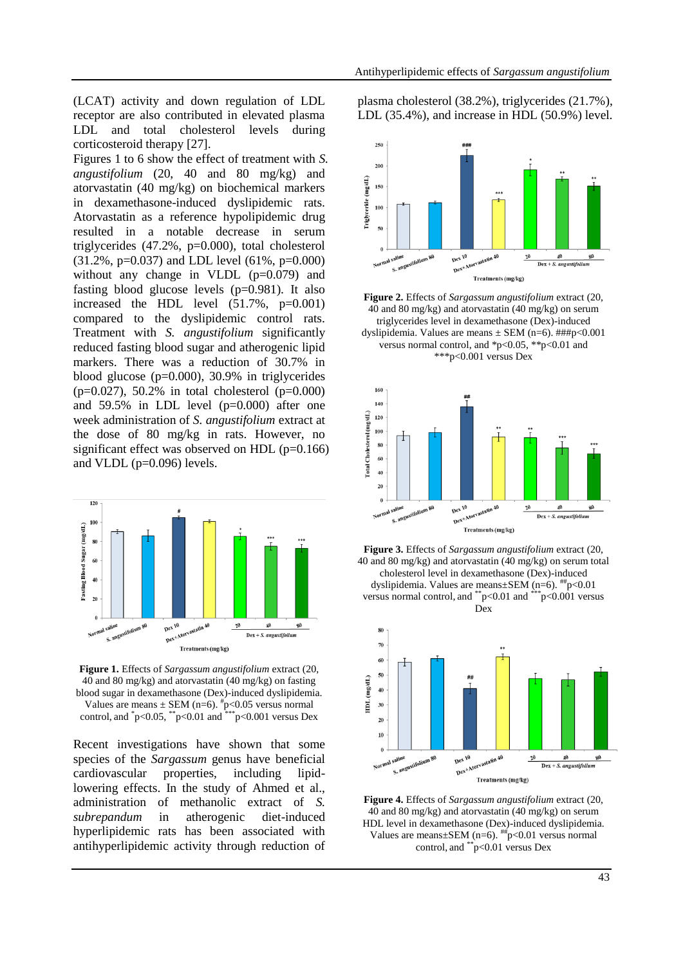(LCAT) activity and down regulation of LDL receptor are also contributed in elevated plasma LDL and total cholesterol levels during corticosteroid therapy [27].

Figures 1 to 6 show the effect of treatment with *S. angustifolium* (20, 40 and 80 mg/kg) and atorvastatin (40 mg/kg) on biochemical markers in dexamethasone-induced dyslipidemic rats. Atorvastatin as a reference hypolipidemic drug resulted in a notable decrease in serum triglycerides (47.2%, p=0.000), total cholesterol (31.2%, p=0.037) and LDL level (61%, p=0.000) without any change in VLDL  $(p=0.079)$  and fasting blood glucose levels (p=0.981). It also increased the HDL level (51.7%, p=0.001) compared to the dyslipidemic control rats. Treatment with *S. angustifolium* significantly reduced fasting blood sugar and atherogenic lipid markers. There was a reduction of 30.7% in blood glucose (p=0.000), 30.9% in triglycerides  $(p=0.027)$ , 50.2% in total cholesterol  $(p=0.000)$ and 59.5% in LDL level (p=0.000) after one week administration of *S. angustifolium* extract at the dose of 80 mg/kg in rats. However, no significant effect was observed on HDL (p=0.166) and VLDL (p=0.096) levels.



**Figure 1.** Effects of *Sargassum angustifolium* extract (20, 40 and 80 mg/kg) and atorvastatin (40 mg/kg) on fasting blood sugar in dexamethasone (Dex)-induced dyslipidemia. Values are means  $\pm$  SEM (n=6).  $\frac{4}{3}$ p<0.05 versus normal control, and  $p<0.05$ ,  $p<0.01$  and  $p<0.001$  versus Dex

Recent investigations have shown that some species of the *Sargassum* genus have beneficial cardiovascular properties, including lipidlowering effects. In the study of Ahmed et al., administration of methanolic extract of *S. subrepandum* in atherogenic diet-induced hyperlipidemic rats has been associated with antihyperlipidemic activity through reduction of plasma cholesterol (38.2%), triglycerides (21.7%), LDL (35.4%), and increase in HDL (50.9%) level.



**Figure 2.** Effects of *Sargassum angustifolium* extract (20, 40 and 80 mg/kg) and atorvastatin (40 mg/kg) on serum triglycerides level in dexamethasone (Dex)-induced dyslipidemia. Values are means  $\pm$  SEM (n=6).  $\# \# p < 0.001$ versus normal control, and \*p<0.05, \*\*p<0.01 and \*\*\*p<0.001 versus Dex







**Figure 4.** Effects of *Sargassum angustifolium* extract (20, 40 and 80 mg/kg) and atorvastatin (40 mg/kg) on serum HDL level in dexamethasone (Dex)-induced dyslipidemia. Values are means $\pm$ SEM (n=6).  $^{#}\text{p}$ <0.01 versus normal control, and \*\*p<0.01 versus Dex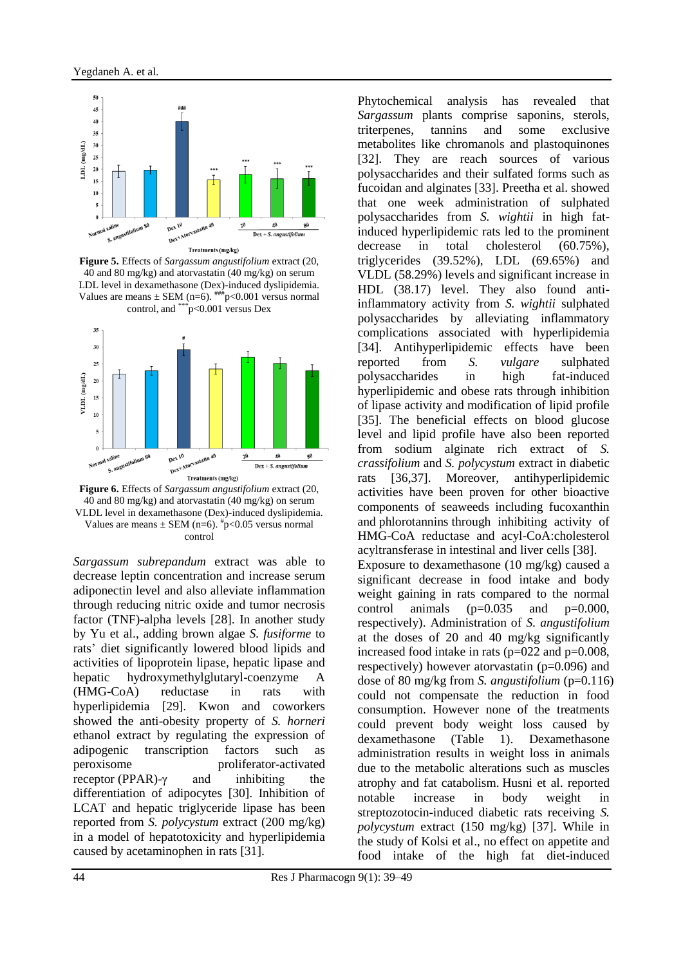

**Figure 5.** Effects of *Sargassum angustifolium* extract (20, 40 and 80 mg/kg) and atorvastatin (40 mg/kg) on serum LDL level in dexamethasone (Dex)-induced dyslipidemia. Values are means  $\pm$  SEM (n=6).  $^{***}$  p<0.001 versus normal control, and \*\*\*p<0.001 versus Dex



**Figure 6.** Effects of *Sargassum angustifolium* extract (20, 40 and 80 mg/kg) and atorvastatin (40 mg/kg) on serum VLDL level in dexamethasone (Dex)-induced dyslipidemia. Values are means  $\pm$  SEM (n=6).  $\frac{4}{3}$ p<0.05 versus normal control

*Sargassum subrepandum* extract was able to decrease leptin concentration and increase serum adiponectin level and also alleviate inflammation through reducing nitric oxide and tumor necrosis factor (TNF)-alpha levels [28]. In another study by Yu et al., adding brown algae *S. fusiforme* to rats' diet significantly lowered blood lipids and activities of lipoprotein lipase, hepatic lipase and hepatic hydroxymethylglutaryl-coenzyme A (HMG-CoA) reductase in rats with hyperlipidemia [29]. Kwon and coworkers showed the anti-obesity property of *S. horneri* ethanol extract by regulating the expression of adipogenic transcription factors such as peroxisome proliferator-activated receptor (PPAR)-γ and inhibiting the differentiation of adipocytes [30]. Inhibition of LCAT and hepatic triglyceride lipase has been reported from *S. polycystum* extract (200 mg/kg) in a model of hepatotoxicity and hyperlipidemia caused by acetaminophen in rats [31].

Phytochemical analysis has revealed that *Sargassum* plants comprise saponins, sterols, triterpenes, tannins and some exclusive metabolites like chromanols and plastoquinones [32]. They are reach sources of various polysaccharides and their sulfated forms such as fucoidan and alginates [33]. Preetha et al. showed that one week administration of sulphated polysaccharides from *S. wightii* in high fatinduced hyperlipidemic rats led to the prominent decrease in total cholesterol (60.75%), triglycerides (39.52%), LDL (69.65%) and VLDL (58.29%) levels and significant increase in HDL (38.17) level. They also found antiinflammatory activity from *S. wightii* sulphated polysaccharides by alleviating inflammatory complications associated with hyperlipidemia [34]. Antihyperlipidemic effects have been reported from *S. vulgare* sulphated polysaccharides in high fat-induced hyperlipidemic and obese rats through inhibition of lipase activity and modification of lipid profile [35]. The beneficial effects on blood glucose level and lipid profile have also been reported from sodium alginate rich extract of *S. crassifolium* and *S. polycystum* extract in diabetic rats [36,37]. Moreover, antihyperlipidemic activities have been proven for other bioactive components of seaweeds including fucoxanthin and phlorotannins through inhibiting activity of HMG-CoA reductase and acyl-CoA:cholesterol acyltransferase in intestinal and liver cells [38]. Exposure to dexamethasone (10 mg/kg) caused a significant decrease in food intake and body weight gaining in rats compared to the normal control animals  $(p=0.035$  and  $p=0.000$ , respectively). Administration of *S. angustifolium* at the doses of 20 and 40 mg/kg significantly increased food intake in rats (p=022 and p=0.008,

respectively) however atorvastatin (p=0.096) and dose of 80 mg/kg from *S. angustifolium* (p=0.116) could not compensate the reduction in food consumption. However none of the treatments could prevent body weight loss caused by dexamethasone (Table 1). Dexamethasone administration results in weight loss in animals due to the metabolic alterations such as muscles atrophy and fat catabolism. Husni et al. reported notable increase in body weight in streptozotocin-induced diabetic rats receiving *S. polycystum* extract (150 mg/kg) [37]. While in the study of Kolsi et al., no effect on appetite and food intake of the high fat diet-induced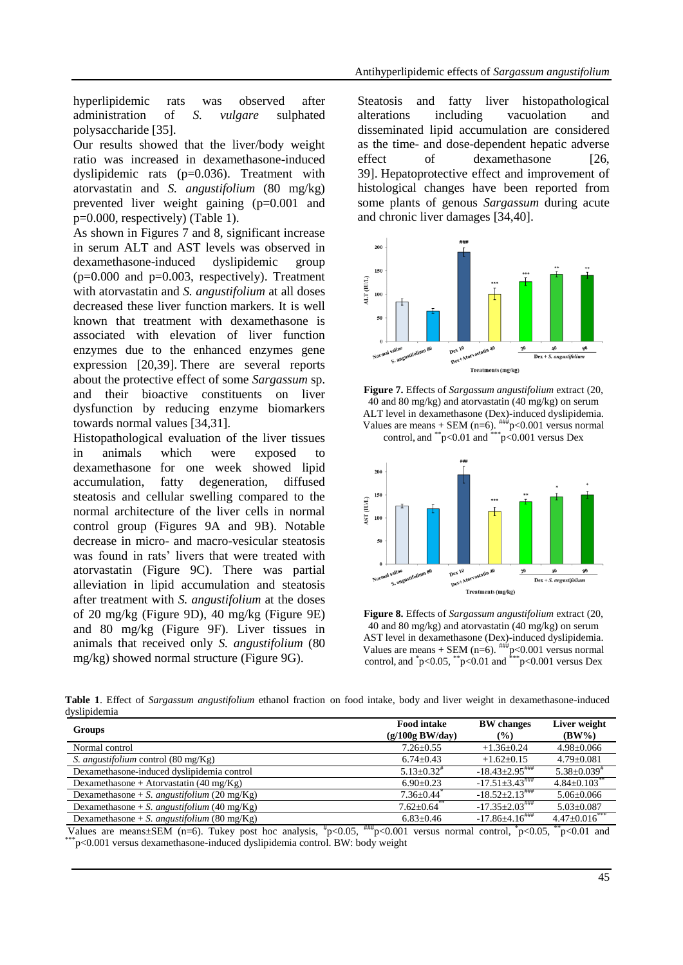hyperlipidemic rats was observed after administration of *S. vulgare* sulphated polysaccharide [35].

Our results showed that the liver/body weight ratio was increased in dexamethasone-induced dyslipidemic rats (p=0.036). Treatment with atorvastatin and *S. angustifolium* (80 mg/kg) prevented liver weight gaining (p=0.001 and p=0.000, respectively) (Table 1).

As shown in Figures 7 and 8, significant increase in serum ALT and AST levels was observed in dexamethasone-induced dyslipidemic group  $(p=0.000$  and  $p=0.003$ , respectively). Treatment with atorvastatin and *S. angustifolium* at all doses decreased these liver function markers. It is well known that treatment with dexamethasone is associated with elevation of liver function enzymes due to the enhanced enzymes gene expression [20,39]. There are several reports about the protective effect of some *Sargassum* sp. and their bioactive constituents on liver dysfunction by reducing enzyme biomarkers towards normal values [34,31].

Histopathological evaluation of the liver tissues in animals which were exposed dexamethasone for one week showed lipid accumulation, fatty degeneration, diffused steatosis and cellular swelling compared to the normal architecture of the liver cells in normal control group (Figures 9A and 9B). Notable decrease in micro- and macro-vesicular steatosis was found in rats' livers that were treated with atorvastatin (Figure 9C). There was partial alleviation in lipid accumulation and steatosis after treatment with *S. angustifolium* at the doses of 20 mg/kg (Figure 9D), 40 mg/kg (Figure 9E) and 80 mg/kg (Figure 9F). Liver tissues in animals that received only *S. angustifolium* (80 mg/kg) showed normal structure (Figure 9G).

Steatosis and fatty liver histopathological alterations including vacuolation and disseminated lipid accumulation are considered as the time- and dose-dependent hepatic adverse effect of dexamethasone [26, 39]. Hepatoprotective effect and improvement of histological changes have been reported from some plants of genous *Sargassum* during acute and chronic liver damages [34,40].







**Figure 8.** Effects of *Sargassum angustifolium* extract (20, 40 and 80 mg/kg) and atorvastatin (40 mg/kg) on serum AST level in dexamethasone (Dex)-induced dyslipidemia. Values are means + SEM (n=6).  $^{#H#}p<0.001$  versus normal control, and  $p<0.05$ ,  $p<0.01$  and  $p<0.001$  versus Dex

**Table 1**. Effect of *Sargassum angustifolium* ethanol fraction on food intake, body and liver weight in dexamethasone-induced dyslipidemia

| <b>Groups</b>                                      | <b>Food intake</b><br>$(g/100g$ BW/day) | <b>BW</b> changes<br>$\frac{9}{6}$ | Liver weight<br>$(BW\%)$    |
|----------------------------------------------------|-----------------------------------------|------------------------------------|-----------------------------|
| Normal control                                     | $7.26 \pm 0.55$                         | $+1.36+0.24$                       | $4.98 \pm 0.066$            |
| S. angustifolium control $(80 \text{ mg/Kg})$      | $6.74 \pm 0.43$                         | $+1.62+0.15$                       | $4.79 + 0.081$              |
| Dexamethasone-induced dyslipidemia control         | $5.13 + 0.32$ <sup>#</sup>              | $-18.43+2.95$                      | $5.38 + 0.039$ <sup>#</sup> |
| Dexamethasone + Atorvastatin $(40 \text{ mg/Kg})$  | $6.90+0.23$                             | $-17.51 + 3.43$                    | $4.84 + 0.103$              |
| Dexamethasone + S. angustifolium (20 mg/Kg)        | $7.36 + 0.44$                           | $-18.52 \pm 2.13$                  | $5.06 \pm 0.066$            |
| Dexamethasone + S. <i>angustifolium</i> (40 mg/Kg) | $7.62 + 0.64$ <sup>**</sup>             | $-17.35+2.03$                      | $5.03 \pm 0.087$            |
| Dexamethasone + S. <i>angustifolium</i> (80 mg/Kg) | $6.83 \pm 0.46$                         | $-17.86\pm4.16$ ###                | $4.47+0.016^{**}$           |
| $\sim$ $\sim$<br>- - - -                           |                                         |                                    |                             |

Values are means $\pm$ SEM (n=6). Tukey post hoc analysis,  $\frac{m}{2}$ p<0.05,  $\frac{m}{2}$ p<0.001 versus normal control,  $\frac{m}{2}$ co.05,  $\frac{m}{2}$ p<0.01 and  $p \leq 0.001$  versus dexamethasone-induced dyslipidemia control. BW: body weight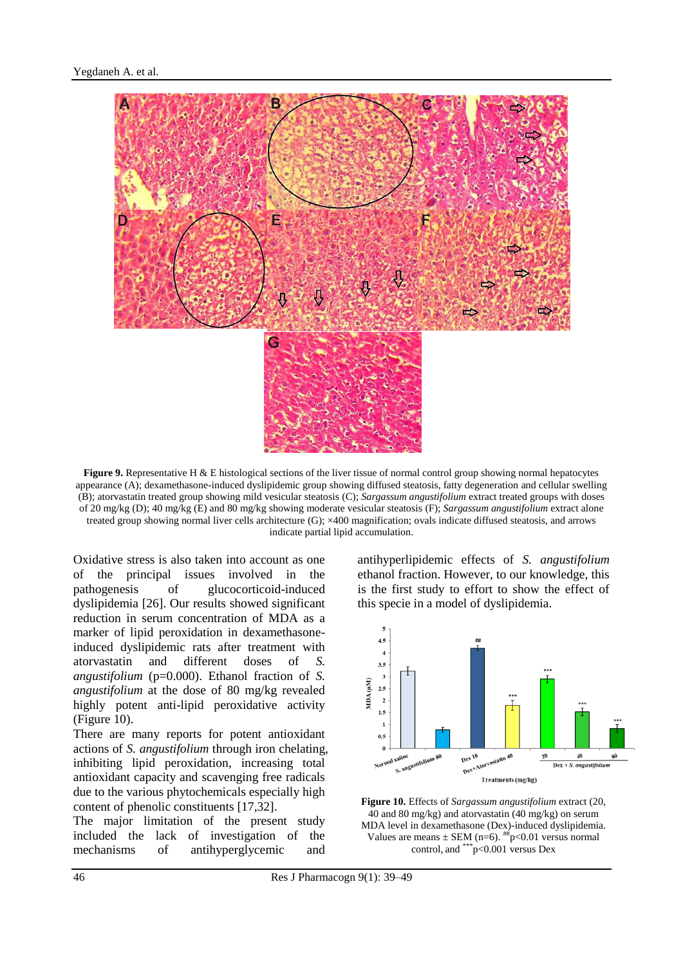

**Figure 9.** Representative H & E histological sections of the liver tissue of normal control group showing normal hepatocytes appearance (A); dexamethasone-induced dyslipidemic group showing diffused steatosis, fatty degeneration and cellular swelling (B); atorvastatin treated group showing mild vesicular steatosis (C); *Sargassum angustifolium* extract treated groups with doses of 20 mg/kg (D); 40 mg/kg (E) and 80 mg/kg showing moderate vesicular steatosis (F); *Sargassum angustifolium* extract alone treated group showing normal liver cells architecture (G); ×400 magnification; ovals indicate diffused steatosis, and arrows indicate partial lipid accumulation.

Oxidative stress is also taken into account as one of the principal issues involved in the pathogenesis of glucocorticoid-induced dyslipidemia [26]. Our results showed significant reduction in serum concentration of MDA as a marker of lipid peroxidation in dexamethasoneinduced dyslipidemic rats after treatment with atorvastatin and different doses of *S. angustifolium* (p=0.000). Ethanol fraction of *S. angustifolium* at the dose of 80 mg/kg revealed highly potent anti-lipid peroxidative activity (Figure 10).

There are many reports for potent antioxidant actions of *S. angustifolium* through iron chelating, inhibiting lipid peroxidation, increasing total antioxidant capacity and scavenging free radicals due to the various phytochemicals especially high content of phenolic constituents [17,32].

The major limitation of the present study included the lack of investigation of the mechanisms of antihyperglycemic and

antihyperlipidemic effects of *S. angustifolium* ethanol fraction. However, to our knowledge, this is the first study to effort to show the effect of this specie in a model of dyslipidemia.



**Figure 10.** Effects of *Sargassum angustifolium* extract (20, 40 and 80 mg/kg) and atorvastatin (40 mg/kg) on serum MDA level in dexamethasone (Dex)-induced dyslipidemia. Values are means  $\pm$  SEM (n=6). <sup>##</sup>p<0.01 versus normal control, and \*\*\*p<0.001 versus Dex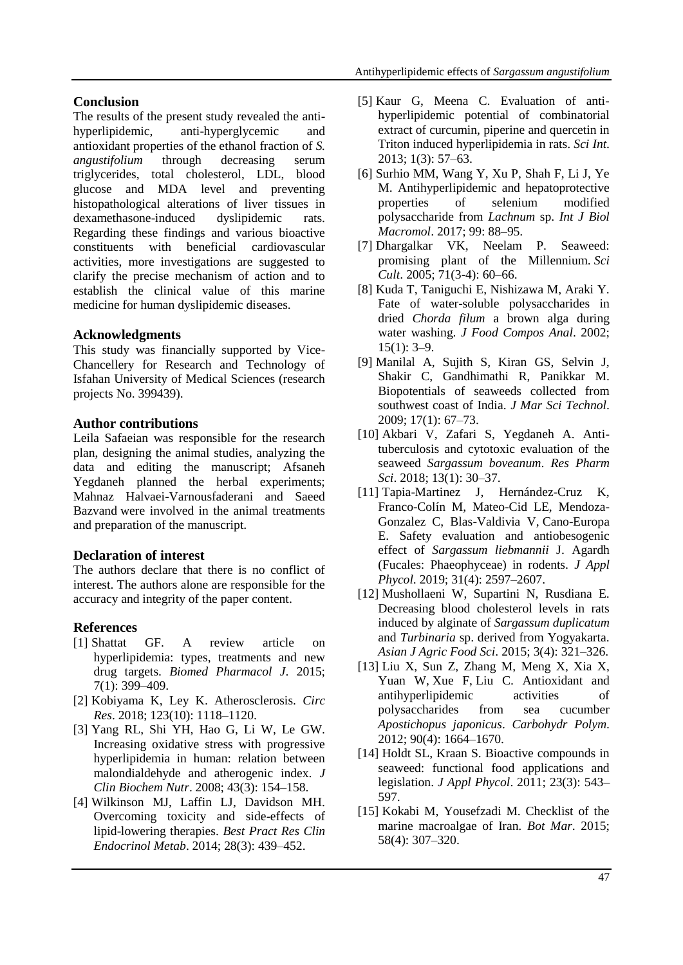# **Conclusion**

The results of the present study revealed the antihyperlipidemic, anti-hyperglycemic and antioxidant properties of the ethanol fraction of *S. angustifolium* through decreasing serum triglycerides, total cholesterol, LDL, blood glucose and MDA level and preventing histopathological alterations of liver tissues in dexamethasone-induced dyslipidemic rats. Regarding these findings and various bioactive constituents with beneficial cardiovascular activities, more investigations are suggested to clarify the precise mechanism of action and to establish the clinical value of this marine medicine for human dyslipidemic diseases.

# **Acknowledgments**

This study was financially supported by Vice-Chancellery for Research and Technology of Isfahan University of Medical Sciences (research projects No. 399439).

# **Author contributions**

Leila Safaeian was responsible for the research plan, designing the animal studies, analyzing the data and editing the manuscript; Afsaneh Yegdaneh planned the herbal experiments; Mahnaz Halvaei-Varnousfaderani and Saeed Bazvand were involved in the animal treatments and preparation of the manuscript.

# **Declaration of interest**

The authors declare that there is no conflict of interest. The authors alone are responsible for the accuracy and integrity of the paper content.

# **References**

- [1] Shattat GF. A review article on hyperlipidemia: types, treatments and new drug targets. *Biomed Pharmacol J*. 2015; 7(1): 399–409.
- [2] Kobiyama K, Ley K. Atherosclerosis. *Circ Res*. 2018; 123(10): 1118–1120.
- [3] Yang RL, Shi YH, Hao G, Li W, Le GW. Increasing oxidative stress with progressive hyperlipidemia in human: relation between malondialdehyde and atherogenic index. *J Clin Biochem Nutr*. 2008; 43(3): 154–158.
- [4] Wilkinson MJ, Laffin LJ, Davidson MH. Overcoming toxicity and side-effects of lipid-lowering therapies. *Best Pract Res Clin Endocrinol Metab*. 2014; 28(3): 439–452.
- [5] Kaur G, Meena C. Evaluation of antihyperlipidemic potential of combinatorial extract of curcumin, piperine and quercetin in Triton induced hyperlipidemia in rats. *Sci Int*. 2013; 1(3): 57–63.
- [6] Surhio MM, Wang Y, Xu P, Shah F, Li J, Ye M. Antihyperlipidemic and hepatoprotective properties of selenium modified polysaccharide from *Lachnum* sp. *Int J Biol Macromol*. 2017; 99: 88–95.
- [7] Dhargalkar VK, Neelam P. Seaweed: promising plant of the Millennium. *Sci Cult*. 2005; 71(3-4): 60–66.
- [8] Kuda T, Taniguchi E, Nishizawa M, Araki Y. Fate of water-soluble polysaccharides in dried *Chorda filum* a brown alga during water washing. *J Food Compos Anal*. 2002;  $15(1): 3-9.$
- [9] Manilal A, Sujith S, Kiran GS, Selvin J, Shakir C, Gandhimathi R, [Panikkar](https://www.semanticscholar.org/author/M.-Panikkar/40828800) M. Biopotentials of seaweeds collected from southwest coast of India. *J Mar Sci Technol*. 2009; 17(1): 67–73.
- [10] Akbari V, Zafari S, Yegdaneh A. Antituberculosis and cytotoxic evaluation of the seaweed *Sargassum boveanum*. *Res Pharm Sci*. 2018; 13(1): 30–37.
- [11] Tapia-Martinez J, Hernández-Cruz K, Franco-Colín M, Mateo-Cid LE, Mendoza-Gonzalez C, Blas-Valdivia V, [Cano-Europa](https://link.springer.com/article/10.1007/s10811-019-1752-y#auth-Edgar-Cano_Europa) E. Safety evaluation and antiobesogenic effect of *Sargassum liebmannii* J. Agardh (Fucales: Phaeophyceae) in rodents. *J Appl Phycol*. 2019; 31(4): 2597–2607.
- [12] Mushollaeni W, Supartini N, Rusdiana E. Decreasing blood cholesterol levels in rats induced by alginate of *Sargassum duplicatum* and *Turbinaria* sp. derived from Yogyakarta. *Asian J Agric Food Sci*. 2015; 3(4): 321–326.
- [13] Liu X, Sun Z, Zhang M, Meng X, Xia X, Yuan W, [Xue](https://pubmed.ncbi.nlm.nih.gov/?term=Xue+F&cauthor_id=22944431) F, [Liu](https://pubmed.ncbi.nlm.nih.gov/?term=Liu+C&cauthor_id=22944431) C. Antioxidant and antihyperlipidemic activities of polysaccharides from sea cucumber *Apostichopus japonicus*. *Carbohydr Polym*. 2012; 90(4): 1664–1670.
- [14] Holdt SL, Kraan S. Bioactive compounds in seaweed: functional food applications and legislation. *J Appl Phycol*. 2011; 23(3): 543– 597.
- [15] Kokabi M, Yousefzadi M. Checklist of the marine macroalgae of Iran. *Bot Mar*. 2015; 58(4): 307–320.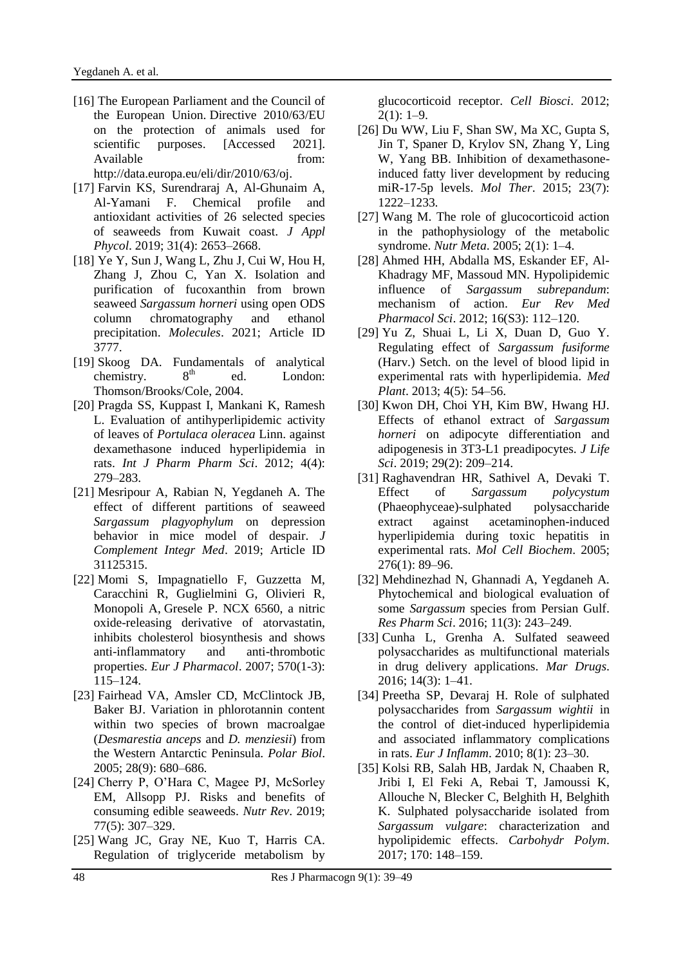- [16] The European Parliament and the Council of the European Union. Directive 2010/63/EU on the protection of animals used for scientific purposes. [Accessed 2021]. Available from: [http://data.europa.eu/eli/dir/2010/63/oj.](http://data.europa.eu/eli/dir/2010/63/oj)
- [17] Farvin KS, Surendraraj A, Al-Ghunaim A, Al-Yamani F. Chemical profile and antioxidant activities of 26 selected species of seaweeds from Kuwait coast. *J Appl Phycol*. 2019; 31(4): 2653–2668.
- [18] Ye Y, Sun J, Wang L, Zhu J, Cui W, Hou H, Zhang J, Zhou C, Yan X. Isolation and purification of fucoxanthin from brown seaweed *Sargassum horneri* using open ODS column chromatography and ethanol precipitation. *Molecules*. 2021; Article ID 3777.
- [19] Skoog DA. Fundamentals of analytical chemistry.  $8<sup>th</sup>$  ed. London: Thomson/Brooks/Cole, 2004.
- [20] Pragda SS, Kuppast I, Mankani K, Ramesh L. Evaluation of antihyperlipidemic activity of leaves of *Portulaca oleracea* Linn. against dexamethasone induced hyperlipidemia in rats. *Int J Pharm Pharm Sci*. 2012; 4(4): 279–283.
- [21] Mesripour A, Rabian N, Yegdaneh A. The effect of different partitions of seaweed *Sargassum plagyophylum* on depression behavior in mice model of despair. *J Complement Integr Med*. 2019; Article ID 31125315.
- [22] Momi S, Impagnatiello F, Guzzetta M, Caracchini R, Guglielmini G, Olivieri R, [Monopoli](https://pubmed.ncbi.nlm.nih.gov/?term=Monopoli+A&cauthor_id=17632098) A, [Gresele](https://pubmed.ncbi.nlm.nih.gov/?term=Gresele+P&cauthor_id=17632098) P. NCX 6560, a nitric oxide-releasing derivative of atorvastatin, inhibits cholesterol biosynthesis and shows anti-inflammatory and anti-thrombotic properties. *Eur J Pharmacol*. 2007; 570(1-3): 115–124.
- [23] Fairhead VA, Amsler CD, McClintock JB, Baker BJ. Variation in phlorotannin content within two species of brown macroalgae (*Desmarestia anceps* and *D. menziesii*) from the Western Antarctic Peninsula. *Polar Biol*. 2005; 28(9): 680–686.
- [24] Cherry P, O'Hara C, Magee PJ, McSorley EM, Allsopp PJ. Risks and benefits of consuming edible seaweeds. *Nutr Rev*. 2019; 77(5): 307–329.
- [25] Wang JC, Gray NE, Kuo T, Harris CA. Regulation of triglyceride metabolism by

glucocorticoid receptor. *Cell Biosci*. 2012;  $2(1): 1-9.$ 

- [26] Du WW, Liu F, Shan SW, Ma XC, Gupta S, Jin T, [Spaner](https://pubmed.ncbi.nlm.nih.gov/?term=Spaner+D&cauthor_id=25896250) D, [Krylov](https://pubmed.ncbi.nlm.nih.gov/?term=Krylov+SN&cauthor_id=25896250) SN, [Zhang](https://pubmed.ncbi.nlm.nih.gov/?term=Zhang+Y&cauthor_id=25896250) Y, [Ling](https://pubmed.ncbi.nlm.nih.gov/?term=Ling+W&cauthor_id=25896250) W, [Yang](https://pubmed.ncbi.nlm.nih.gov/?term=Yang+BB&cauthor_id=25896250) BB. Inhibition of dexamethasoneinduced fatty liver development by reducing miR-17-5p levels. *Mol Ther*. 2015; 23(7): 1222–1233.
- [27] Wang M. The role of glucocorticoid action in the pathophysiology of the metabolic syndrome. *Nutr Meta*. 2005; 2(1): 1–4.
- [28] Ahmed HH, Abdalla MS, Eskander EF, Al-Khadragy MF, Massoud MN. Hypolipidemic influence of *Sargassum subrepandum*: mechanism of action. *Eur Rev Med Pharmacol Sci*. 2012; 16(S3): 112–120.
- [29] Yu Z, Shuai L, Li X, Duan D, Guo Y. Regulating effect of *Sargassum fusiforme* (Harv.) Setch. on the level of blood lipid in experimental rats with hyperlipidemia. *Med Plant*. 2013; 4(5): 54–56.
- [30] Kwon DH, Choi YH, Kim BW, Hwang HJ. Effects of ethanol extract of *Sargassum horneri* on adipocyte differentiation and adipogenesis in 3T3-L1 preadipocytes. *J Life Sci*. 2019; 29(2): 209–214.
- [31] Raghavendran HR, Sathivel A, Devaki T. Effect of *Sargassum polycystum* (Phaeophyceae)-sulphated polysaccharide extract against acetaminophen-induced hyperlipidemia during toxic hepatitis in experimental rats. *Mol Cell Biochem*. 2005; 276(1): 89–96.
- [32] Mehdinezhad N, Ghannadi A, Yegdaneh A. Phytochemical and biological evaluation of some *Sargassum* species from Persian Gulf. *Res Pharm Sci*. 2016; 11(3): 243–249.
- [33] Cunha L, Grenha A. Sulfated seaweed polysaccharides as multifunctional materials in drug delivery applications. *Mar Drugs*. 2016; 14(3): 1–41.
- [34] Preetha SP, Devaraj H. Role of sulphated polysaccharides from *Sargassum wightii* in the control of diet-induced hyperlipidemia and associated inflammatory complications in rats. *Eur J Inflamm*. 2010; 8(1): 23–30.
- [35] Kolsi RB, Salah HB, Jardak N, Chaaben R, Jribi I, El Feki A, [Rebai](https://pubmed.ncbi.nlm.nih.gov/?term=Rebai+T&cauthor_id=28521980) T, [Jamoussi](https://pubmed.ncbi.nlm.nih.gov/?term=Jamoussi+K&cauthor_id=28521980) K, [Allouche](https://pubmed.ncbi.nlm.nih.gov/?term=Allouche+N&cauthor_id=28521980) N, [Blecker](https://pubmed.ncbi.nlm.nih.gov/?term=Blecker+C&cauthor_id=28521980) C, [Belghith](https://pubmed.ncbi.nlm.nih.gov/?term=Belghith+H&cauthor_id=28521980) H, [Belghith](https://pubmed.ncbi.nlm.nih.gov/?term=Belghith+K&cauthor_id=28521980) K. Sulphated polysaccharide isolated from *Sargassum vulgare*: characterization and hypolipidemic effects. *Carbohydr Polym*. 2017; 170: 148–159.